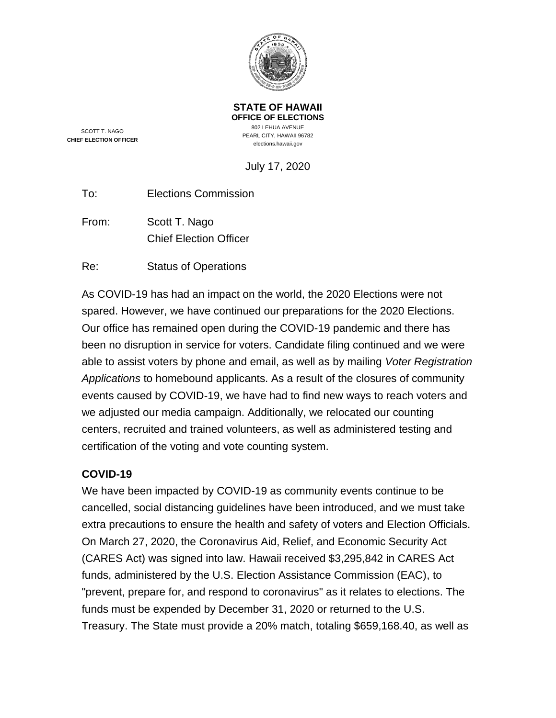

SCOTT T. NAGO **CHIEF ELECTION OFFICER**

**STATE OF HAWAII OFFICE OF ELECTIONS** 802 LEHUA AVENUE PEARL CITY, HAWAII 96782 elections.hawaii.gov

July 17, 2020

From: Scott T. Nago Chief Election Officer

Re: Status of Operations

As COVID-19 has had an impact on the world, the 2020 Elections were not spared. However, we have continued our preparations for the 2020 Elections. Our office has remained open during the COVID-19 pandemic and there has been no disruption in service for voters. Candidate filing continued and we were able to assist voters by phone and email, as well as by mailing *Voter Registration Applications* to homebound applicants. As a result of the closures of community events caused by COVID-19, we have had to find new ways to reach voters and we adjusted our media campaign. Additionally, we relocated our counting centers, recruited and trained volunteers, as well as administered testing and certification of the voting and vote counting system.

### **COVID-19**

We have been impacted by COVID-19 as community events continue to be cancelled, social distancing guidelines have been introduced, and we must take extra precautions to ensure the health and safety of voters and Election Officials. On March 27, 2020, the Coronavirus Aid, Relief, and Economic Security Act (CARES Act) was signed into law. Hawaii received \$3,295,842 in CARES Act funds, administered by the U.S. Election Assistance Commission (EAC), to "prevent, prepare for, and respond to coronavirus" as it relates to elections. The funds must be expended by December 31, 2020 or returned to the U.S. Treasury. The State must provide a 20% match, totaling \$659,168.40, as well as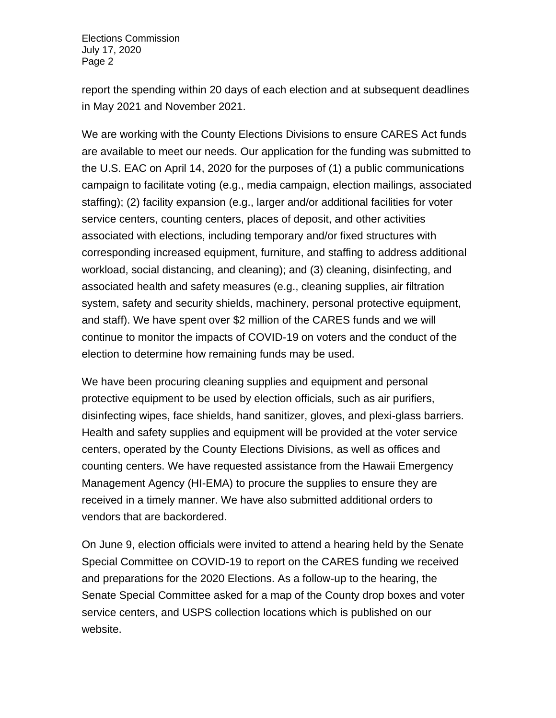report the spending within 20 days of each election and at subsequent deadlines in May 2021 and November 2021.

We are working with the County Elections Divisions to ensure CARES Act funds are available to meet our needs. Our application for the funding was submitted to the U.S. EAC on April 14, 2020 for the purposes of (1) a public communications campaign to facilitate voting (e.g., media campaign, election mailings, associated staffing); (2) facility expansion (e.g., larger and/or additional facilities for voter service centers, counting centers, places of deposit, and other activities associated with elections, including temporary and/or fixed structures with corresponding increased equipment, furniture, and staffing to address additional workload, social distancing, and cleaning); and (3) cleaning, disinfecting, and associated health and safety measures (e.g., cleaning supplies, air filtration system, safety and security shields, machinery, personal protective equipment, and staff). We have spent over \$2 million of the CARES funds and we will continue to monitor the impacts of COVID-19 on voters and the conduct of the election to determine how remaining funds may be used.

We have been procuring cleaning supplies and equipment and personal protective equipment to be used by election officials, such as air purifiers, disinfecting wipes, face shields, hand sanitizer, gloves, and plexi-glass barriers. Health and safety supplies and equipment will be provided at the voter service centers, operated by the County Elections Divisions, as well as offices and counting centers. We have requested assistance from the Hawaii Emergency Management Agency (HI-EMA) to procure the supplies to ensure they are received in a timely manner. We have also submitted additional orders to vendors that are backordered.

On June 9, election officials were invited to attend a hearing held by the Senate Special Committee on COVID-19 to report on the CARES funding we received and preparations for the 2020 Elections. As a follow-up to the hearing, the Senate Special Committee asked for a map of the County drop boxes and voter service centers, and USPS collection locations which is published on our website.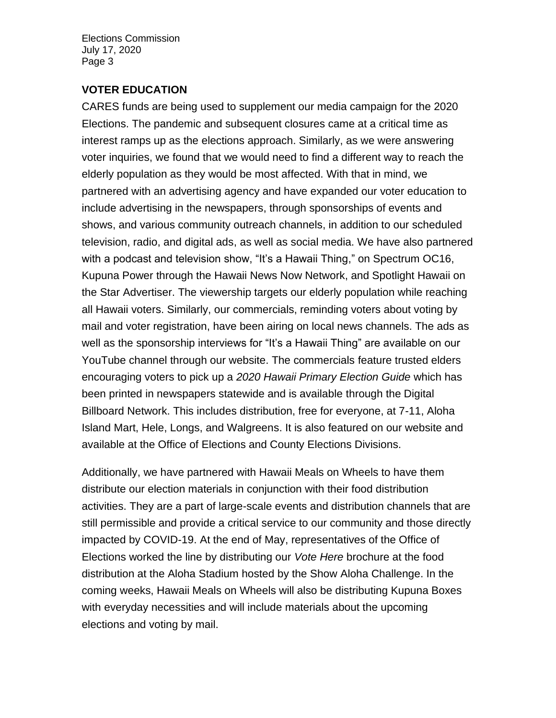### **VOTER EDUCATION**

CARES funds are being used to supplement our media campaign for the 2020 Elections. The pandemic and subsequent closures came at a critical time as interest ramps up as the elections approach. Similarly, as we were answering voter inquiries, we found that we would need to find a different way to reach the elderly population as they would be most affected. With that in mind, we partnered with an advertising agency and have expanded our voter education to include advertising in the newspapers, through sponsorships of events and shows, and various community outreach channels, in addition to our scheduled television, radio, and digital ads, as well as social media. We have also partnered with a podcast and television show, "It's a Hawaii Thing," on Spectrum OC16, Kupuna Power through the Hawaii News Now Network, and Spotlight Hawaii on the Star Advertiser. The viewership targets our elderly population while reaching all Hawaii voters. Similarly, our commercials, reminding voters about voting by mail and voter registration, have been airing on local news channels. The ads as well as the sponsorship interviews for "It's a Hawaii Thing" are available on our YouTube channel through our website. The commercials feature trusted elders encouraging voters to pick up a *2020 Hawaii Primary Election Guide* which has been printed in newspapers statewide and is available through the Digital Billboard Network. This includes distribution, free for everyone, at 7-11, Aloha Island Mart, Hele, Longs, and Walgreens. It is also featured on our website and available at the Office of Elections and County Elections Divisions.

Additionally, we have partnered with Hawaii Meals on Wheels to have them distribute our election materials in conjunction with their food distribution activities. They are a part of large-scale events and distribution channels that are still permissible and provide a critical service to our community and those directly impacted by COVID-19. At the end of May, representatives of the Office of Elections worked the line by distributing our *Vote Here* brochure at the food distribution at the Aloha Stadium hosted by the Show Aloha Challenge. In the coming weeks, Hawaii Meals on Wheels will also be distributing Kupuna Boxes with everyday necessities and will include materials about the upcoming elections and voting by mail.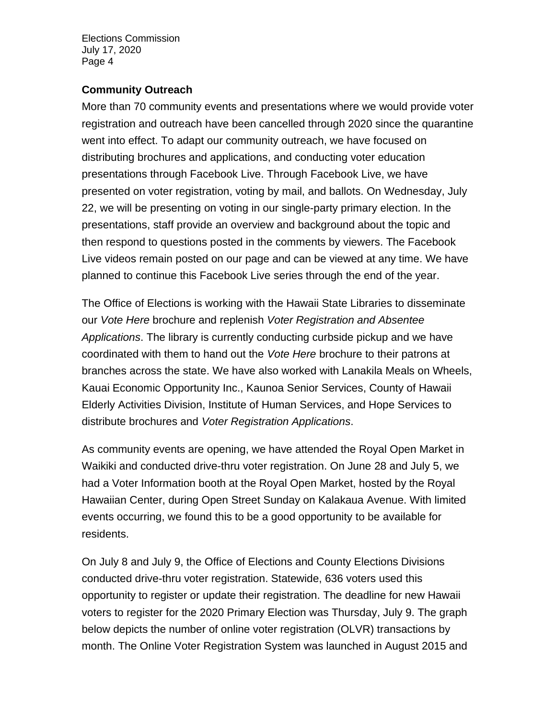### **Community Outreach**

More than 70 community events and presentations where we would provide voter registration and outreach have been cancelled through 2020 since the quarantine went into effect. To adapt our community outreach, we have focused on distributing brochures and applications, and conducting voter education presentations through Facebook Live. Through Facebook Live, we have presented on voter registration, voting by mail, and ballots. On Wednesday, July 22, we will be presenting on voting in our single-party primary election. In the presentations, staff provide an overview and background about the topic and then respond to questions posted in the comments by viewers. The Facebook Live videos remain posted on our page and can be viewed at any time. We have planned to continue this Facebook Live series through the end of the year.

The Office of Elections is working with the Hawaii State Libraries to disseminate our *Vote Here* brochure and replenish *Voter Registration and Absentee Applications*. The library is currently conducting curbside pickup and we have coordinated with them to hand out the *Vote Here* brochure to their patrons at branches across the state. We have also worked with Lanakila Meals on Wheels, Kauai Economic Opportunity Inc., Kaunoa Senior Services, County of Hawaii Elderly Activities Division, Institute of Human Services, and Hope Services to distribute brochures and *Voter Registration Applications*.

As community events are opening, we have attended the Royal Open Market in Waikiki and conducted drive-thru voter registration. On June 28 and July 5, we had a Voter Information booth at the Royal Open Market, hosted by the Royal Hawaiian Center, during Open Street Sunday on Kalakaua Avenue. With limited events occurring, we found this to be a good opportunity to be available for residents.

On July 8 and July 9, the Office of Elections and County Elections Divisions conducted drive-thru voter registration. Statewide, 636 voters used this opportunity to register or update their registration. The deadline for new Hawaii voters to register for the 2020 Primary Election was Thursday, July 9. The graph below depicts the number of online voter registration (OLVR) transactions by month. The Online Voter Registration System was launched in August 2015 and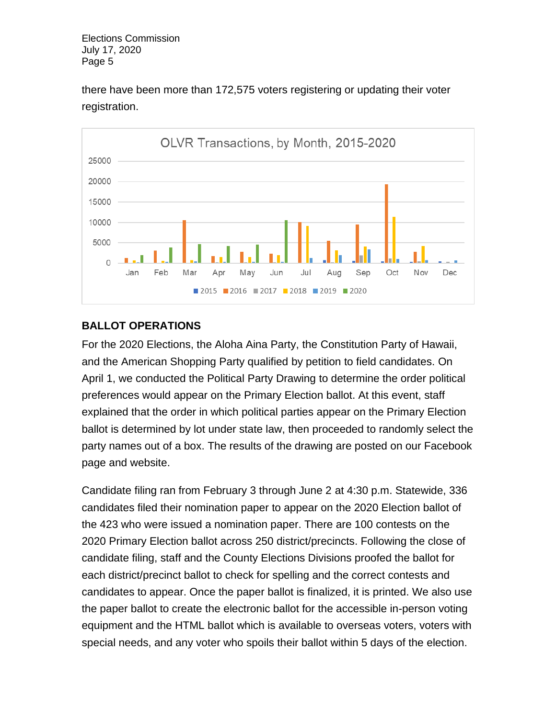

there have been more than 172,575 voters registering or updating their voter registration.

# **BALLOT OPERATIONS**

For the 2020 Elections, the Aloha Aina Party, the Constitution Party of Hawaii, and the American Shopping Party qualified by petition to field candidates. On April 1, we conducted the Political Party Drawing to determine the order political preferences would appear on the Primary Election ballot. At this event, staff explained that the order in which political parties appear on the Primary Election ballot is determined by lot under state law, then proceeded to randomly select the party names out of a box. The results of the drawing are posted on our Facebook page and website.

Candidate filing ran from February 3 through June 2 at 4:30 p.m. Statewide, 336 candidates filed their nomination paper to appear on the 2020 Election ballot of the 423 who were issued a nomination paper. There are 100 contests on the 2020 Primary Election ballot across 250 district/precincts. Following the close of candidate filing, staff and the County Elections Divisions proofed the ballot for each district/precinct ballot to check for spelling and the correct contests and candidates to appear. Once the paper ballot is finalized, it is printed. We also use the paper ballot to create the electronic ballot for the accessible in-person voting equipment and the HTML ballot which is available to overseas voters, voters with special needs, and any voter who spoils their ballot within 5 days of the election.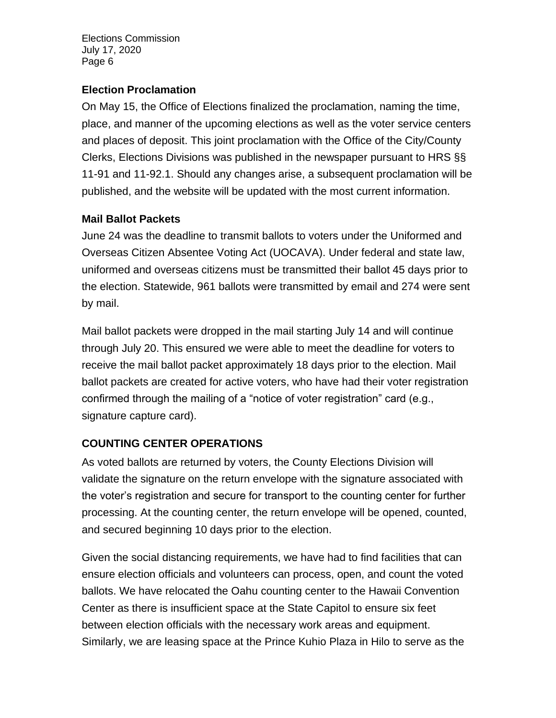### **Election Proclamation**

On May 15, the Office of Elections finalized the proclamation, naming the time, place, and manner of the upcoming elections as well as the voter service centers and places of deposit. This joint proclamation with the Office of the City/County Clerks, Elections Divisions was published in the newspaper pursuant to HRS §§ 11-91 and 11-92.1. Should any changes arise, a subsequent proclamation will be published, and the website will be updated with the most current information.

# **Mail Ballot Packets**

June 24 was the deadline to transmit ballots to voters under the Uniformed and Overseas Citizen Absentee Voting Act (UOCAVA). Under federal and state law, uniformed and overseas citizens must be transmitted their ballot 45 days prior to the election. Statewide, 961 ballots were transmitted by email and 274 were sent by mail.

Mail ballot packets were dropped in the mail starting July 14 and will continue through July 20. This ensured we were able to meet the deadline for voters to receive the mail ballot packet approximately 18 days prior to the election. Mail ballot packets are created for active voters, who have had their voter registration confirmed through the mailing of a "notice of voter registration" card (e.g., signature capture card).

# **COUNTING CENTER OPERATIONS**

As voted ballots are returned by voters, the County Elections Division will validate the signature on the return envelope with the signature associated with the voter's registration and secure for transport to the counting center for further processing. At the counting center, the return envelope will be opened, counted, and secured beginning 10 days prior to the election.

Given the social distancing requirements, we have had to find facilities that can ensure election officials and volunteers can process, open, and count the voted ballots. We have relocated the Oahu counting center to the Hawaii Convention Center as there is insufficient space at the State Capitol to ensure six feet between election officials with the necessary work areas and equipment. Similarly, we are leasing space at the Prince Kuhio Plaza in Hilo to serve as the